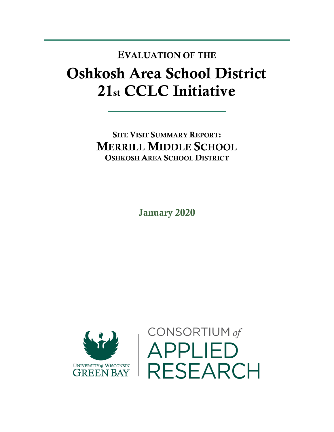## Oshkosh Area School District 21st CCLC Initiative EVALUATION OF THE

SITE VISIT SUMMARY REPORT: MERRILL MIDDLE SCHOOL OSHKOSH AREA SCHOOL DISTRICT

January 2020



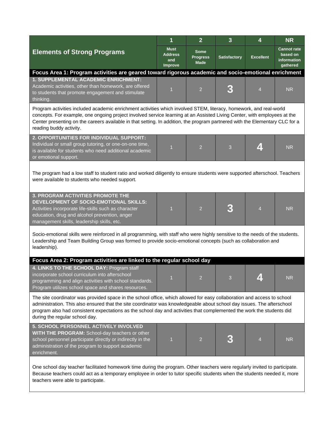|                                                                                                                                                                                                                                                                                                                                                                                                              | 1                                               | $\overline{2}$                                | $\mathbf{3}$        | 4                | <b>NR</b>                                                 |  |  |  |  |
|--------------------------------------------------------------------------------------------------------------------------------------------------------------------------------------------------------------------------------------------------------------------------------------------------------------------------------------------------------------------------------------------------------------|-------------------------------------------------|-----------------------------------------------|---------------------|------------------|-----------------------------------------------------------|--|--|--|--|
| <b>Elements of Strong Programs</b>                                                                                                                                                                                                                                                                                                                                                                           | <b>Must</b><br><b>Address</b><br>and<br>Improve | <b>Some</b><br><b>Progress</b><br><b>Made</b> | <b>Satisfactory</b> | <b>Excellent</b> | <b>Cannot rate</b><br>based on<br>information<br>gathered |  |  |  |  |
| Focus Area 1: Program activities are geared toward rigorous academic and socio-emotional enrichment                                                                                                                                                                                                                                                                                                          |                                                 |                                               |                     |                  |                                                           |  |  |  |  |
| 1. SUPPLEMENTAL ACADEMIC ENRICHMENT:<br>Academic activities, other than homework, are offered<br>to students that promote engagement and stimulate<br>thinking.                                                                                                                                                                                                                                              | $\overline{1}$                                  | $\overline{2}$                                |                     | $\overline{4}$   | <b>NR</b>                                                 |  |  |  |  |
| Program activities included academic enrichment activities which involved STEM, literacy, homework, and real-world<br>concepts. For example, one ongoing project involved service learning at an Assisted Living Center, with employees at the<br>Center presenting on the careers available in that setting. In addition, the program partnered with the Elementary CLC for a<br>reading buddy activity.    |                                                 |                                               |                     |                  |                                                           |  |  |  |  |
| 2. OPPORTUNITIES FOR INDIVIDUAL SUPPORT:<br>Individual or small group tutoring, or one-on-one time,<br>is available for students who need additional academic<br>or emotional support.                                                                                                                                                                                                                       | $\overline{1}$                                  | $\overline{2}$                                | 3                   | Z.               | <b>NR</b>                                                 |  |  |  |  |
| The program had a low staff to student ratio and worked diligently to ensure students were supported afterschool. Teachers<br>were available to students who needed support.                                                                                                                                                                                                                                 |                                                 |                                               |                     |                  |                                                           |  |  |  |  |
| 3. PROGRAM ACTIVITIES PROMOTE THE<br>DEVELOPMENT OF SOCIO-EMOTIONAL SKILLS:<br>Activities incorporate life-skills such as character<br>education, drug and alcohol prevention, anger<br>management skills, leadership skills, etc.                                                                                                                                                                           | 1                                               | $\overline{2}$                                |                     | $\overline{4}$   | <b>NR</b>                                                 |  |  |  |  |
| Socio-emotional skills were reinforced in all programming, with staff who were highly sensitive to the needs of the students.<br>Leadership and Team Building Group was formed to provide socio-emotional concepts (such as collaboration and<br>leadership).                                                                                                                                                |                                                 |                                               |                     |                  |                                                           |  |  |  |  |
| Focus Area 2: Program activities are linked to the regular school day                                                                                                                                                                                                                                                                                                                                        |                                                 |                                               |                     |                  |                                                           |  |  |  |  |
| 4. LINKS TO THE SCHOOL DAY: Program staff<br>incorporate school curriculum into afterschool<br>programming and align activities with school standards.<br>Program utilizes school space and shares resources.                                                                                                                                                                                                | $\sim$                                          | $\mathcal{P}$                                 |                     |                  | <b>NR</b>                                                 |  |  |  |  |
| The site coordinator was provided space in the school office, which allowed for easy collaboration and access to school<br>administration. This also ensured that the site coordinator was knowledgeable about school day issues. The afterschool<br>program also had consistent expectations as the school day and activities that complemented the work the students did<br>during the regular school day. |                                                 |                                               |                     |                  |                                                           |  |  |  |  |
| 5. SCHOOL PERSONNEL ACTIVELY INVOLVED<br>WITH THE PROGRAM: School-day teachers or other<br>school personnel participate directly or indirectly in the<br>administration of the program to support academic<br>enrichment.                                                                                                                                                                                    | 1                                               | $\overline{2}$                                |                     | $\overline{4}$   | <b>NR</b>                                                 |  |  |  |  |
| One school day teacher facilitated homework time during the program. Other teachers were regularly invited to participate.                                                                                                                                                                                                                                                                                   |                                                 |                                               |                     |                  |                                                           |  |  |  |  |

Because teachers could act as a temporary employee in order to tutor specific students when the students needed it, more teachers were able to participate.